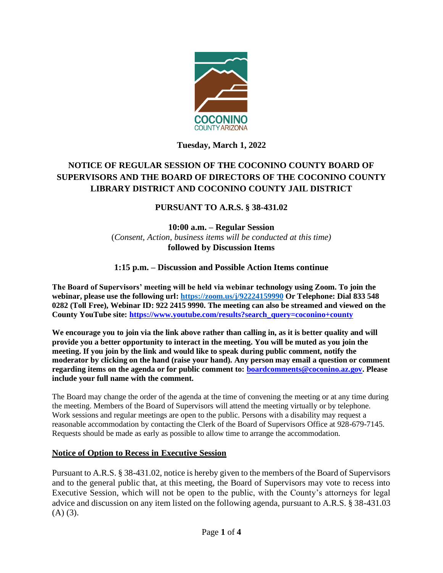

## **Tuesday, March 1, 2022**

# **NOTICE OF REGULAR SESSION OF THE COCONINO COUNTY BOARD OF SUPERVISORS AND THE BOARD OF DIRECTORS OF THE COCONINO COUNTY LIBRARY DISTRICT AND COCONINO COUNTY JAIL DISTRICT**

## **PURSUANT TO A.R.S. § 38-431.02**

**10:00 a.m. – Regular Session**  (*Consent, Action, business items will be conducted at this time)* **followed by Discussion Items** 

## **1:15 p.m. – Discussion and Possible Action Items continue**

**The Board of Supervisors' meeting will be held via webinar technology using Zoom. To join the webinar, please use the following url[: https://zoom.us/j/92224159990](https://zoom.us/j/92224159990) Or Telephone: Dial 833 548 0282 (Toll Free), Webinar ID: 922 2415 9990. The meeting can also be streamed and viewed on the County YouTube site: [https://www.youtube.com/results?search\\_query=coconino+county](https://www.youtube.com/results?search_query=coconino+county)**

We encourage you to join via the link above rather than calling in, as it is better quality and will **provide you a better opportunity to interact in the meeting. You will be muted as you join the meeting. If you join by the link and would like to speak during public comment, notify the moderator by clicking on the hand (raise your hand). Any person may email a question or comment regarding items on the agenda or for public comment to: [boardcomments@coconino.az.gov.](mailto:boardcomments@coconino.az.gov) Please include your full name with the comment.** 

The Board may change the order of the agenda at the time of convening the meeting or at any time during the meeting. Members of the Board of Supervisors will attend the meeting virtually or by telephone. Work sessions and regular meetings are open to the public. Persons with a disability may request a reasonable accommodation by contacting the Clerk of the Board of Supervisors Office at 928-679-7145. Requests should be made as early as possible to allow time to arrange the accommodation.

#### **Notice of Option to Recess in Executive Session**

Pursuant to A.R.S. § 38-431.02, notice is hereby given to the members of the Board of Supervisors and to the general public that, at this meeting, the Board of Supervisors may vote to recess into Executive Session, which will not be open to the public, with the County's attorneys for legal advice and discussion on any item listed on the following agenda, pursuant to A.R.S. § 38-431.03  $(A)$   $(3)$ .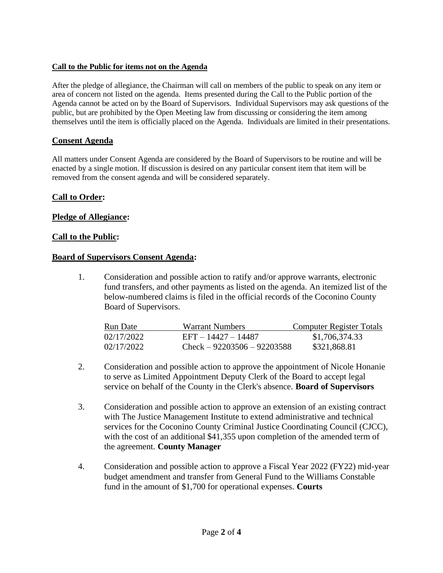### **Call to the Public for items not on the Agenda**

After the pledge of allegiance, the Chairman will call on members of the public to speak on any item or area of concern not listed on the agenda. Items presented during the Call to the Public portion of the Agenda cannot be acted on by the Board of Supervisors. Individual Supervisors may ask questions of the public, but are prohibited by the Open Meeting law from discussing or considering the item among themselves until the item is officially placed on the Agenda. Individuals are limited in their presentations.

## **Consent Agenda**

All matters under Consent Agenda are considered by the Board of Supervisors to be routine and will be enacted by a single motion. If discussion is desired on any particular consent item that item will be removed from the consent agenda and will be considered separately.

## **Call to Order:**

### **Pledge of Allegiance:**

#### **Call to the Public:**

#### **Board of Supervisors Consent Agenda:**

1. Consideration and possible action to ratify and/or approve warrants, electronic fund transfers, and other payments as listed on the agenda. An itemized list of the below-numbered claims is filed in the official records of the Coconino County Board of Supervisors.

| Run Date   | Warrant Numbers               | Computer Register Totals |
|------------|-------------------------------|--------------------------|
| 02/17/2022 | EFT - 14427 - 14487           | \$1,706,374.33           |
| 02/17/2022 | $Check - 92203506 - 92203588$ | \$321,868.81             |

- 2. Consideration and possible action to approve the appointment of Nicole Honanie to serve as Limited Appointment Deputy Clerk of the Board to accept legal service on behalf of the County in the Clerk's absence. **Board of Supervisors**
- 3. Consideration and possible action to approve an extension of an existing contract with The Justice Management Institute to extend administrative and technical services for the Coconino County Criminal Justice Coordinating Council (CJCC), with the cost of an additional \$41,355 upon completion of the amended term of the agreement. **County Manager**
- 4. Consideration and possible action to approve a Fiscal Year 2022 (FY22) mid-year budget amendment and transfer from General Fund to the Williams Constable fund in the amount of \$1,700 for operational expenses. **Courts**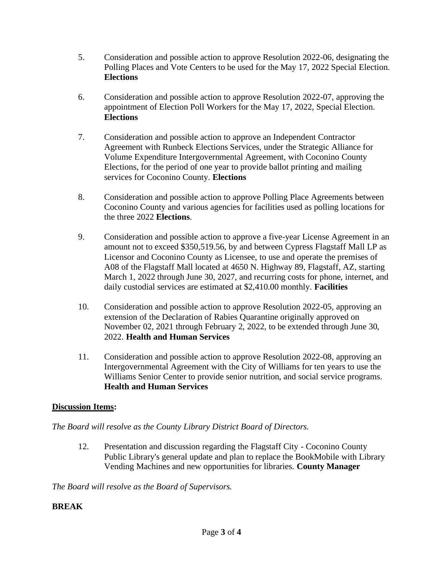- 5. Consideration and possible action to approve Resolution 2022-06, designating the Polling Places and Vote Centers to be used for the May 17, 2022 Special Election. **Elections**
- 6. Consideration and possible action to approve Resolution 2022-07, approving the appointment of Election Poll Workers for the May 17, 2022, Special Election. **Elections**
- 7. Consideration and possible action to approve an Independent Contractor Agreement with Runbeck Elections Services, under the Strategic Alliance for Volume Expenditure Intergovernmental Agreement, with Coconino County Elections, for the period of one year to provide ballot printing and mailing services for Coconino County. **Elections**
- 8. Consideration and possible action to approve Polling Place Agreements between Coconino County and various agencies for facilities used as polling locations for the three 2022 **Elections**.
- 9. Consideration and possible action to approve a five-year License Agreement in an amount not to exceed \$350,519.56, by and between Cypress Flagstaff Mall LP as Licensor and Coconino County as Licensee, to use and operate the premises of A08 of the Flagstaff Mall located at 4650 N. Highway 89, Flagstaff, AZ, starting March 1, 2022 through June 30, 2027, and recurring costs for phone, internet, and daily custodial services are estimated at \$2,410.00 monthly. **Facilities**
- 10. Consideration and possible action to approve Resolution 2022-05, approving an extension of the Declaration of Rabies Quarantine originally approved on November 02, 2021 through February 2, 2022, to be extended through June 30, 2022. **Health and Human Services**
- 11. Consideration and possible action to approve Resolution 2022-08, approving an Intergovernmental Agreement with the City of Williams for ten years to use the Williams Senior Center to provide senior nutrition, and social service programs. **Health and Human Services**

## **Discussion Items:**

## *The Board will resolve as the County Library District Board of Directors.*

12. Presentation and discussion regarding the Flagstaff City - Coconino County Public Library's general update and plan to replace the BookMobile with Library Vending Machines and new opportunities for libraries. **County Manager**

*The Board will resolve as the Board of Supervisors.*

## **BREAK**